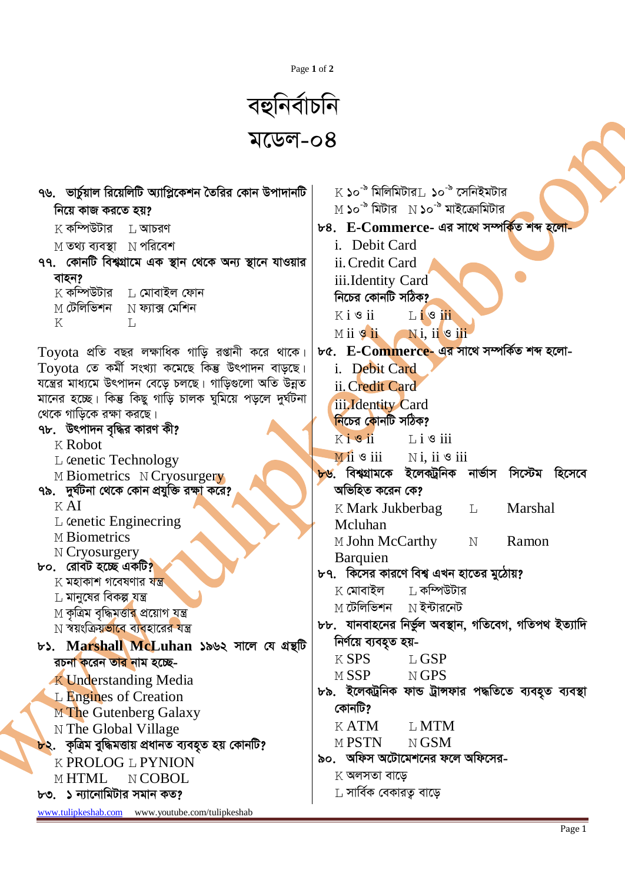Page 1 of  $2$ 

## বহুনিৰ্বাচনি  $\sqrt{25}$   $\sqrt{6}$

| ৭৬. ভার্চুয়াল রিয়েলিটি অ্যাপ্লিকেশন তৈরির কোন উপাদানটি                                    | $\,$ K ১০ $^{-\infty}$ মিলিমিটার $\,$ L ১০ $^{-\infty}$ সেনিইমটার            |  |  |  |  |
|---------------------------------------------------------------------------------------------|------------------------------------------------------------------------------|--|--|--|--|
| নিয়ে কাজ করতে হয়?                                                                         | $M$ ১০ $^{-8}$ মিটার $M$ ১০ $^{-8}$ মাইক্রোমিটার                             |  |  |  |  |
| $K$ কম্পিউটার $\quad$ [, আচরণ                                                               | ৮৪. E-Commerce- এর সাথে সম্পর্কিত শব্দ হলো-                                  |  |  |  |  |
| $M$ তথ্য ব্যবস্থা $N$ পরিবেশ                                                                | i. Debit Card                                                                |  |  |  |  |
| ৭৭. কোনটি বিশ্বগ্রামে এক স্থান থেকে অন্য স্থানে যাওয়ার                                     | ii. Credit Card                                                              |  |  |  |  |
| বাহন?                                                                                       | iii.Identity Card<br>নিচের কোনটি সঠিক?                                       |  |  |  |  |
| $K$ কম্পিউটার $L$ মোবাইল ফোন                                                                |                                                                              |  |  |  |  |
| $\rm M$ টেলিভিশন<br>$\hbox{N}$ ফ্যাক্স মেশিন                                                | $Ki$ $\mathcal{B}$ ii<br>Lisii                                               |  |  |  |  |
| K<br>L                                                                                      | Mii 9 ii Ni, ii 9 iii                                                        |  |  |  |  |
| $\operatorname{Toyota}$ প্রতি বছর লক্ষাধিক গাড়ি রপ্তানী করে থাকে।                          | $bc. \ E\text{-}Commence$ ্ৰুৱ সাথে সম্পৰ্কিত শব্দ হলো-                      |  |  |  |  |
| ${\rm Toyota}$ তে কৰ্মী সংখ্যা কমেছে কিন্তু উৎপাদন বাড়ছে।                                  | i. Debit Card                                                                |  |  |  |  |
| যন্ত্রের মাধ্যমে উৎপাদন বেড়ে চলছে। গাড়িগুলো অতি উন্নত                                     | ii. Credit Card                                                              |  |  |  |  |
| মানের হচ্ছে। কিন্তু কিছু গাড়ি চালক ঘুমিয়ে পড়লে দুর্ঘটনা                                  | iii. Identity Card                                                           |  |  |  |  |
| থেকে গাড়িকে রক্ষা করছে।                                                                    | <mark>নিচের কোনটি সঠিক?</mark>                                               |  |  |  |  |
| ৭৮. উৎপাদন বৃদ্ধির কারণ কী?                                                                 | $Ki$ s $ii$<br>$Li$ $\sigma$ iii                                             |  |  |  |  |
| <b>K</b> Robot<br>L cenetic Technology                                                      | $\overline{M}$ ii $\overline{S}$ iii $\overline{N}$ i, ii $\overline{S}$ iii |  |  |  |  |
| M Biometrics N Cryosurgery                                                                  | <mark>৮৬.</mark> বিশ্বগ্রামকে ইলেকট্রনিক নার্ভাস সিস্টেম হিসেবে              |  |  |  |  |
| ৭৯. দুর্ঘটনা থেকে কোন প্রযুক্তি রক্ষা করে?                                                  | অভিহিত করেন কে?                                                              |  |  |  |  |
| KAI                                                                                         | K Mark Jukberbag<br><b>Marshal</b><br>$\mathbb{L}$                           |  |  |  |  |
| $L$ cenetic Engineering                                                                     | Mcluhan                                                                      |  |  |  |  |
| <b>M</b> Biometrics                                                                         |                                                                              |  |  |  |  |
|                                                                                             | $\mathbf N$<br>Ramon                                                         |  |  |  |  |
| N Cryosurgery                                                                               | M John McCarthy                                                              |  |  |  |  |
| ৮০. রোবট হচ্ছে একটি <mark>?</mark>                                                          | Barquien<br>৮৭. কিসের কারণে বিশ্ব এখন হাতের মুঠোয়?                          |  |  |  |  |
| $\boldsymbol{\mathrm{K}}$ মহাকাশ গবেষণার যন্ত্র                                             | $\,$ $\,$ কম্পিউটার<br>$\boldsymbol{\mathrm{K}}$ মোবাইল                      |  |  |  |  |
| $\rm L$ মানুষের বিকল্প যন্ত্র                                                               | $M$ টেলিভিশন $\quad$ $N$ ইন্টারনেট                                           |  |  |  |  |
| M কৃত্ৰিম বৃদ্ধিমত্তার প্রয়োগ যন্ত্র                                                       | ৮৮. যানবাহনের নির্ভুল অবস্থান, গতিবেগ, গতিপথ ইত্যাদি                         |  |  |  |  |
| N স্বয়ংক্রিয়ভাবে ব্যবহারের যন্ত্র                                                         | নিৰ্ণয়ে ব্যবহুত হয়-                                                        |  |  |  |  |
| ৮১. Marshall McLuhan ১৯৬২ সালে যে গ্রন্থটি                                                  | K SPS<br>L GSP                                                               |  |  |  |  |
| রচনা করেন তার নাম হচ্ছে-                                                                    | $M$ SSP<br>N GPS                                                             |  |  |  |  |
| <b>K Understanding Media</b>                                                                | ৮৯. ইলেকট্রনিক ফান্ড ট্রান্সফার পদ্ধতিতে ব্যবহৃত ব্যবস্থা                    |  |  |  |  |
| L Engines of Creation                                                                       | কোনটি?                                                                       |  |  |  |  |
| M The Gutenberg Galaxy                                                                      | K ATM<br>L MTM                                                               |  |  |  |  |
| N The Global Village<br><mark>৮২.   কৃত্ৰিম বুদ্ধিমত্তায় প্ৰধানত ব্যবহুত হয় কোনটি?</mark> | M PSTN<br>N GSM                                                              |  |  |  |  |
| K PROLOG L PYNION                                                                           | ৯০.   অফিস অটোমেশনের ফলে অফিসের-                                             |  |  |  |  |
| M HTML<br>N COBOL                                                                           | $\boldsymbol{\mathrm{K}}$ অলসতা বাড়ে                                        |  |  |  |  |
| ৮৩. ১ ন্যানোমিটার সমান কত?                                                                  | $\,$ া সার্বিক বেকারতু বাড়ে                                                 |  |  |  |  |